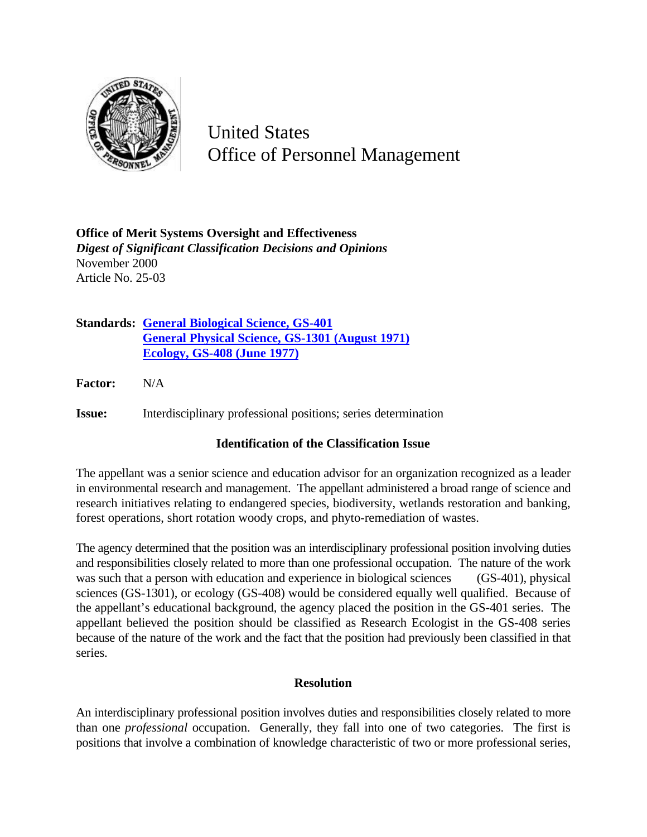

United States Office of Personnel Management

**Office of Merit Systems Oversight and Effectiveness** *Digest of Significant Classification Decisions and Opinions* November 2000 Article No. 25-03

**Standards: General Biological Science, GS-401 General Physical Science, GS-1301 (August 1971) Ecology, GS-408 (June 1977)**

**Factor:** N/A

**Issue:** Interdisciplinary professional positions; series determination

## **Identification of the Classification Issue**

The appellant was a senior science and education advisor for an organization recognized as a leader in environmental research and management. The appellant administered a broad range of science and research initiatives relating to endangered species, biodiversity, wetlands restoration and banking, forest operations, short rotation woody crops, and phyto-remediation of wastes.

The agency determined that the position was an interdisciplinary professional position involving duties and responsibilities closely related to more than one professional occupation. The nature of the work was such that a person with education and experience in biological sciences (GS-401), physical sciences (GS-1301), or ecology (GS-408) would be considered equally well qualified. Because of the appellant's educational background, the agency placed the position in the GS-401 series. The appellant believed the position should be classified as Research Ecologist in the GS-408 series because of the nature of the work and the fact that the position had previously been classified in that series.

## **Resolution**

An interdisciplinary professional position involves duties and responsibilities closely related to more than one *professional* occupation. Generally, they fall into one of two categories. The first is positions that involve a combination of knowledge characteristic of two or more professional series,